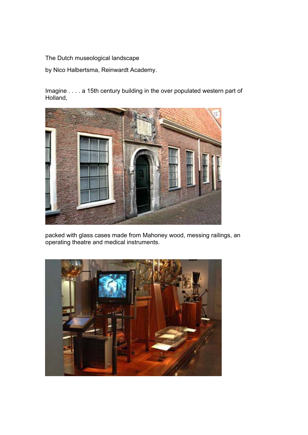The Dutch museological landscape

by Nico Halbertsma, Reinwardt Academy.

Imagine . . . . a 15th century building in the over populated western part of Holland,



packed with glass cases made from Mahoney wood, messing railings, an operating theatre and medical instruments.

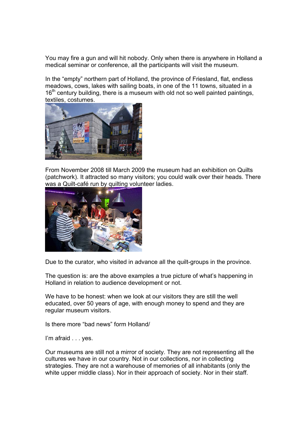You may fire a gun and will hit nobody. Only when there is anywhere in Holland a medical seminar or conference, all the participants will visit the museum.

In the "empty" northern part of Holland, the province of Friesland, flat, endless meadows, cows, lakes with sailing boats, in one of the 11 towns, situated in a  $16<sup>th</sup>$  century building, there is a museum with old not so well painted paintings, textiles, costumes.



From November 2008 till March 2009 the museum had an exhibition on Quilts (patchwork). It attracted so many visitors; you could walk over their heads. There was a Quilt-café run by quilting volunteer ladies.



Due to the curator, who visited in advance all the quilt-groups in the province.

The question is: are the above examples a true picture of what's happening in Holland in relation to audience development or not.

We have to be honest: when we look at our visitors they are still the well educated, over 50 years of age, with enough money to spend and they are regular museum visitors.

Is there more "bad news" form Holland/

I'm afraid . . . ves.

Our museums are still not a mirror of society. They are not representing all the cultures we have in our country. Not in our collections, nor in collecting strategies. They are not a warehouse of memories of all inhabitants (only the white upper middle class). Nor in their approach of society. Nor in their staff.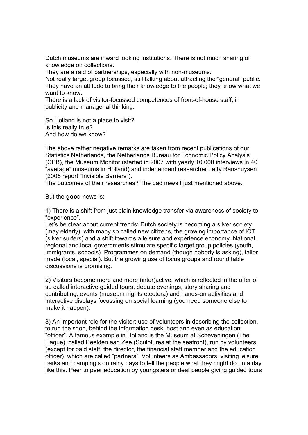Dutch museums are inward looking institutions. There is not much sharing of knowledge on collections.

They are afraid of partnerships, especially with non-museums.

Not really target group focussed, still talking about attracting the "general" public. They have an attitude to bring their knowledge to the people; they know what we want to know.

There is a lack of visitor-focussed competences of front-of-house staff, in publicity and managerial thinking.

So Holland is not a place to visit? Is this really true? And how do we know?

The above rather negative remarks are taken from recent publications of our Statistics Netherlands, the Netherlands Bureau for Economic Policy Analysis (CPB), the Museum Monitor (started in 2007 with yearly 10.000 interviews in 40 "average" museums in Holland) and independent researcher Letty Ranshuysen (2005 report "Invisible Barriers").

The outcomes of their researches? The bad news I just mentioned above.

But the **good** news is:

1) There is a shift from just plain knowledge transfer via awareness of society to "experience".

Let's be clear about current trends: Dutch society is becoming a silver society (may elderly), with many so called new citizens, the growing importance of ICT (silver surfers) and a shift towards a leisure and experience economy. National, regional and local governments stimulate specific target group policies (youth, immigrants, schools). Programmes on demand (though nobody is asking), tailor made (local, special). But the growing use of focus groups and round table discussions is promising.

2) Visitors become more and more (inter)active, which is reflected in the offer of so called interactive guided tours, debate evenings, story sharing and contributing, events (museum nights etcetera) and hands-on activities and interactive displays focussing on social learning (you need someone else to make it happen).

3) An important role for the visitor: use of volunteers in describing the collection, to run the shop, behind the information desk, host and even as education "officer". A famous example in Holland is the Museum at Scheveningen (The Hague), called Beelden aan Zee (Sculptures at the seafront), run by volunteers (except for paid staff: the director, the financial staff member and the education officer), which are called "partners"! Volunteers as Ambassadors, visiting leisure parks and camping's on rainy days to tell the people what they might do on a day like this. Peer to peer education by youngsters or deaf people giving guided tours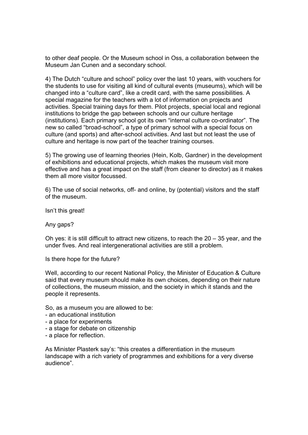to other deaf people. Or the Museum school in Oss, a collaboration between the Museum Jan Cunen and a secondary school.

4) The Dutch "culture and school" policy over the last 10 years, with vouchers for the students to use for visiting all kind of cultural events (museums), which will be changed into a "culture card", like a credit card, with the same possibilities. A special magazine for the teachers with a lot of information on projects and activities. Special training days for them. Pilot projects, special local and regional institutions to bridge the gap between schools and our culture heritage (institutions). Each primary school got its own "internal culture co-ordinator". The new so called "broad-school", a type of primary school with a special focus on culture (and sports) and after-school activities. And last but not least the use of culture and heritage is now part of the teacher training courses.

5) The growing use of learning theories (Hein, Kolb, Gardner) in the development of exhibitions and educational projects, which makes the museum visit more effective and has a great impact on the staff (from cleaner to director) as it makes them all more visitor focussed.

6) The use of social networks, off- and online, by (potential) visitors and the staff of the museum.

Isn't this great!

Any gaps?

Oh yes: it is still difficult to attract new citizens, to reach the 20 – 35 year, and the under fives. And real intergenerational activities are still a problem.

Is there hope for the future?

Well, according to our recent National Policy, the Minister of Education & Culture said that every museum should make its own choices, depending on their nature of collections, the museum mission, and the society in which it stands and the people it represents.

So, as a museum you are allowed to be:

- an educational institution
- a place for experiments
- a stage for debate on citizenship
- a place for reflection.

As Minister Plasterk say's: "this creates a differentiation in the museum landscape with a rich variety of programmes and exhibitions for a very diverse audience".